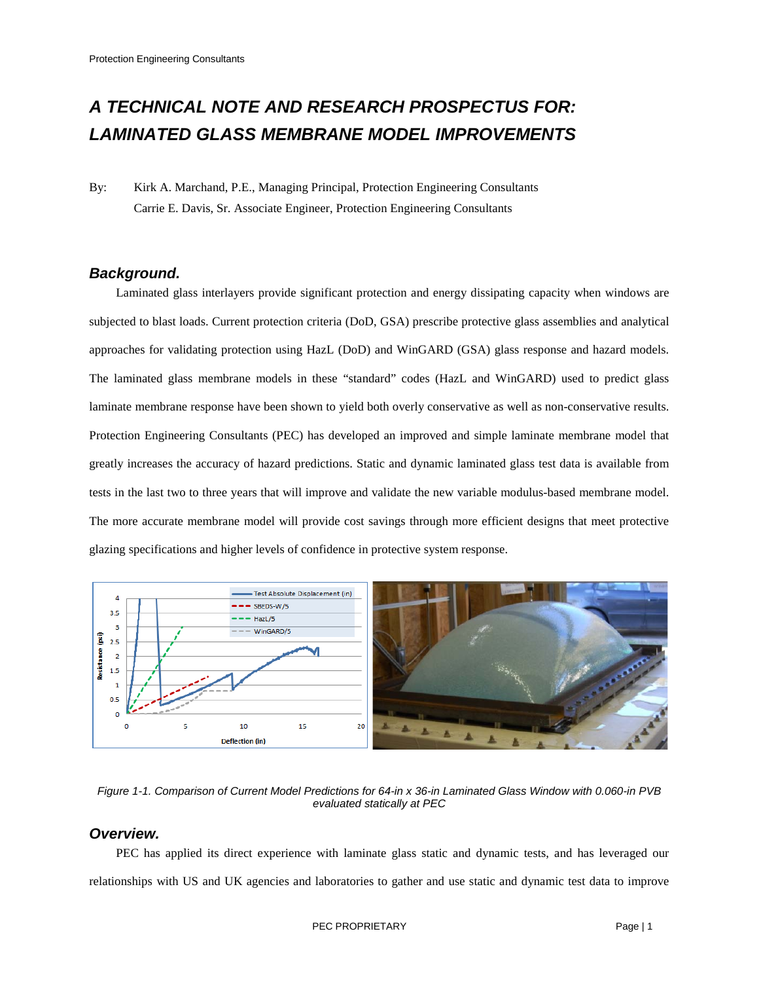# *A TECHNICAL NOTE AND RESEARCH PROSPECTUS FOR: LAMINATED GLASS MEMBRANE MODEL IMPROVEMENTS*

By: Kirk A. Marchand, P.E., Managing Principal, Protection Engineering Consultants Carrie E. Davis, Sr. Associate Engineer, Protection Engineering Consultants

# *Background.*

Laminated glass interlayers provide significant protection and energy dissipating capacity when windows are subjected to blast loads. Current protection criteria (DoD, GSA) prescribe protective glass assemblies and analytical approaches for validating protection using HazL (DoD) and WinGARD (GSA) glass response and hazard models. The laminated glass membrane models in these "standard" codes (HazL and WinGARD) used to predict glass laminate membrane response have been shown to yield both overly conservative as well as non-conservative results. Protection Engineering Consultants (PEC) has developed an improved and simple laminate membrane model that greatly increases the accuracy of hazard predictions. Static and dynamic laminated glass test data is available from tests in the last two to three years that will improve and validate the new variable modulus-based membrane model. The more accurate membrane model will provide cost savings through more efficient designs that meet protective glazing specifications and higher levels of confidence in protective system response.



*Figure 1-1. Comparison of Current Model Predictions for 64-in x 36-in Laminated Glass Window with 0.060-in PVB evaluated statically at PEC*

# *Overview.*

PEC has applied its direct experience with laminate glass static and dynamic tests, and has leveraged our relationships with US and UK agencies and laboratories to gather and use static and dynamic test data to improve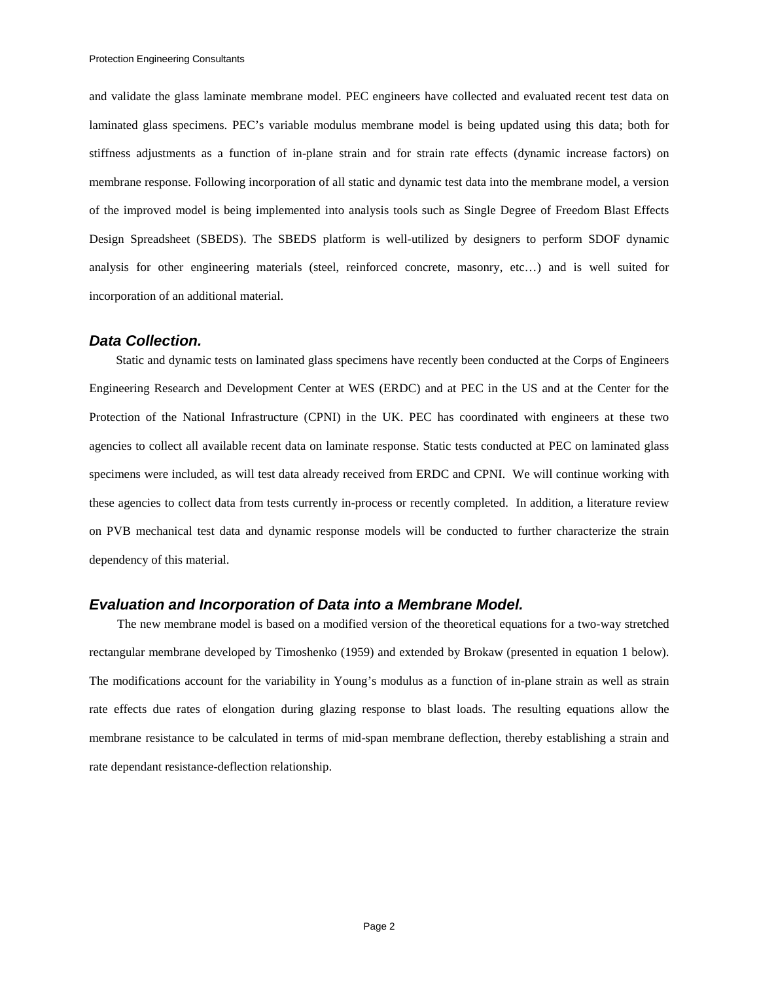and validate the glass laminate membrane model. PEC engineers have collected and evaluated recent test data on laminated glass specimens. PEC's variable modulus membrane model is being updated using this data; both for stiffness adjustments as a function of in-plane strain and for strain rate effects (dynamic increase factors) on membrane response. Following incorporation of all static and dynamic test data into the membrane model, a version of the improved model is being implemented into analysis tools such as Single Degree of Freedom Blast Effects Design Spreadsheet (SBEDS). The SBEDS platform is well-utilized by designers to perform SDOF dynamic analysis for other engineering materials (steel, reinforced concrete, masonry, etc…) and is well suited for incorporation of an additional material.

## *Data Collection.*

Static and dynamic tests on laminated glass specimens have recently been conducted at the Corps of Engineers Engineering Research and Development Center at WES (ERDC) and at PEC in the US and at the Center for the Protection of the National Infrastructure (CPNI) in the UK. PEC has coordinated with engineers at these two agencies to collect all available recent data on laminate response. Static tests conducted at PEC on laminated glass specimens were included, as will test data already received from ERDC and CPNI. We will continue working with these agencies to collect data from tests currently in-process or recently completed. In addition, a literature review on PVB mechanical test data and dynamic response models will be conducted to further characterize the strain dependency of this material.

### *Evaluation and Incorporation of Data into a Membrane Model.*

The new membrane model is based on a modified version of the theoretical equations for a two-way stretched rectangular membrane developed by Timoshenko (1959) and extended by Brokaw (presented in equation 1 below). The modifications account for the variability in Young's modulus as a function of in-plane strain as well as strain rate effects due rates of elongation during glazing response to blast loads. The resulting equations allow the membrane resistance to be calculated in terms of mid-span membrane deflection, thereby establishing a strain and rate dependant resistance-deflection relationship.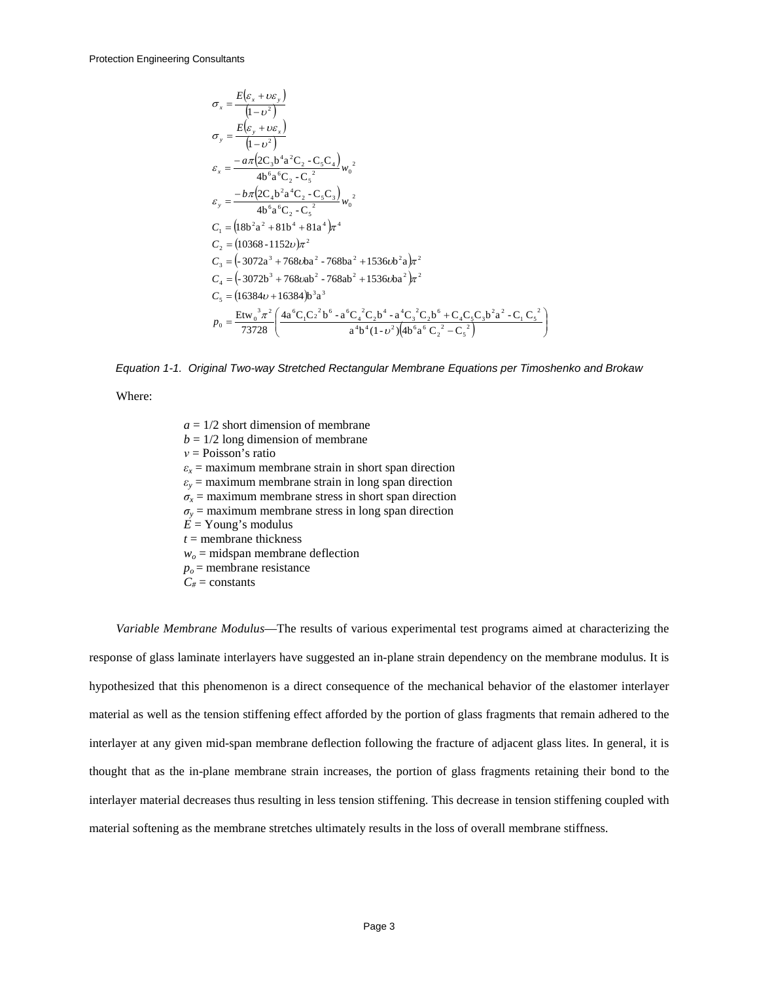$$
\sigma_x = \frac{E(\varepsilon_x + v\varepsilon_y)}{(1 - v^2)} \n\sigma_y = \frac{E(\varepsilon_y + v\varepsilon_x)}{(1 - v^2)} \n\varepsilon_x = \frac{-a\pi (2C_3b^4a^2C_2 - C_5C_4)}{4b^6a^6C_2 - C_5^2} w_0^2 \n\varepsilon_y = \frac{-b\pi (2C_4b^2a^4C_2 - C_5C_3)}{4b^6a^6C_2 - C_5^2} w_0^2 \nC_1 = (18b^2a^2 + 81b^4 + 81a^4)\pi^4 \nC_2 = (10368 - 1152v)\pi^2 \nC_3 = (-3072a^3 + 768vba^2 - 768ba^2 + 1536vba^2)\pi^2 \nC_4 = (-3072b^3 + 768vab^2 - 768ab^2 + 1536vba^2)\pi^2 \nC_5 = (16384v + 16384)b^3a^3 \nP_0 = \frac{Etw_0^3\pi^2}{73728} \left( \frac{4a^6C_1C_2^2b^6 - a^6C_4^2C_2b^4 - a^4C_3^2C_2b^6 + C_4C_5C_3b^2a^2 - C_1C_5^2}{a^4b^4(1 - v^2)(4b^6a^6C_2^2 - C_5^2)} \right)
$$

<span id="page-2-0"></span>*Equation 1-1. Original Two-way Stretched Rectangular Membrane Equations per Timoshenko and Brokaw*

Where:

 $a = 1/2$  short dimension of membrane  $b = 1/2$  long dimension of membrane *ν* = Poisson's ratio  $\varepsilon$ <sub>*x*</sub> = maximum membrane strain in short span direction  $\varepsilon$ <sup>*y*</sup> = maximum membrane strain in long span direction  $\sigma_x$  = maximum membrane stress in short span direction  $\sigma$ <sup>*y*</sup> = maximum membrane stress in long span direction  $E =$ Young's modulus *t* = membrane thickness  $w<sub>o</sub>$  = midspan membrane deflection  $p<sub>o</sub>$  = membrane resistance  $C_{\#}$  = constants

*Variable Membrane Modulus*—The results of various experimental test programs aimed at characterizing the response of glass laminate interlayers have suggested an in-plane strain dependency on the membrane modulus. It is hypothesized that this phenomenon is a direct consequence of the mechanical behavior of the elastomer interlayer material as well as the tension stiffening effect afforded by the portion of glass fragments that remain adhered to the interlayer at any given mid-span membrane deflection following the fracture of adjacent glass lites. In general, it is thought that as the in-plane membrane strain increases, the portion of glass fragments retaining their bond to the interlayer material decreases thus resulting in less tension stiffening. This decrease in tension stiffening coupled with material softening as the membrane stretches ultimately results in the loss of overall membrane stiffness.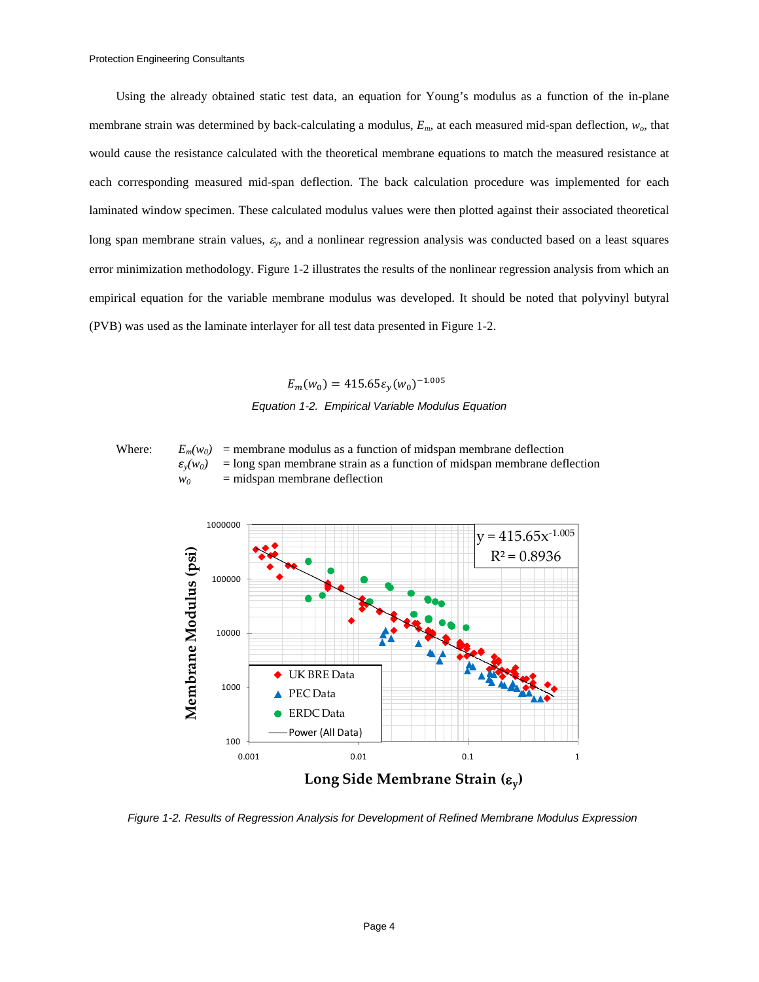Using the already obtained static test data, an equation for Young's modulus as a function of the in-plane membrane strain was determined by back-calculating a modulus, *Em*, at each measured mid-span deflection, *wo*, that would cause the resistance calculated with the theoretical membrane equations to match the measured resistance at each corresponding measured mid-span deflection. The back calculation procedure was implemented for each laminated window specimen. These calculated modulus values were then plotted against their associated theoretical long span membrane strain values, <sup>ε</sup>*y*, and a nonlinear regression analysis was conducted based on a least squares error minimization methodology. [Figure 1-2](#page-3-0) illustrates the results of the nonlinear regression analysis from which an empirical equation for the variable membrane modulus was developed. It should be noted that polyvinyl butyral (PVB) was used as the laminate interlayer for all test data presented in [Figure 1-2.](#page-3-0)

> $E_m(w_0) = 415.65\epsilon_y(w_0)^{-1.005}$ *Equation 1-2. Empirical Variable Modulus Equation*

Where:  $E_m(w_0)$  = membrane modulus as a function of midspan membrane deflection  $\varepsilon$ <sub>*y</sub>*(*w<sub>0</sub>*) = long span membrane strain as a function of midspan membrane deflection</sub>  $w_0$  = midspan membrane deflection



<span id="page-3-0"></span>*Figure 1-2. Results of Regression Analysis for Development of Refined Membrane Modulus Expression*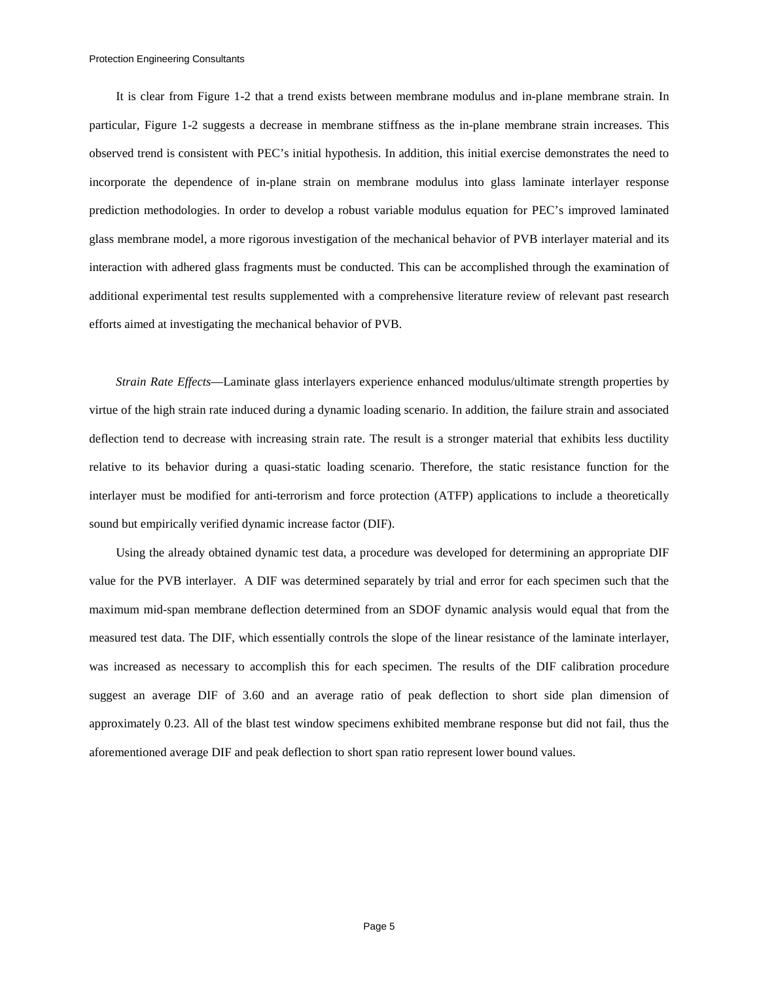It is clear from [Figure 1-2](#page-3-0) that a trend exists between membrane modulus and in-plane membrane strain. In particular, [Figure 1-2](#page-3-0) suggests a decrease in membrane stiffness as the in-plane membrane strain increases. This observed trend is consistent with PEC's initial hypothesis. In addition, this initial exercise demonstrates the need to incorporate the dependence of in-plane strain on membrane modulus into glass laminate interlayer response prediction methodologies. In order to develop a robust variable modulus equation for PEC's improved laminated glass membrane model, a more rigorous investigation of the mechanical behavior of PVB interlayer material and its interaction with adhered glass fragments must be conducted. This can be accomplished through the examination of additional experimental test results supplemented with a comprehensive literature review of relevant past research efforts aimed at investigating the mechanical behavior of PVB.

*Strain Rate Effects*—Laminate glass interlayers experience enhanced modulus/ultimate strength properties by virtue of the high strain rate induced during a dynamic loading scenario. In addition, the failure strain and associated deflection tend to decrease with increasing strain rate. The result is a stronger material that exhibits less ductility relative to its behavior during a quasi-static loading scenario. Therefore, the static resistance function for the interlayer must be modified for anti-terrorism and force protection (ATFP) applications to include a theoretically sound but empirically verified dynamic increase factor (DIF).

Using the already obtained dynamic test data, a procedure was developed for determining an appropriate DIF value for the PVB interlayer. A DIF was determined separately by trial and error for each specimen such that the maximum mid-span membrane deflection determined from an SDOF dynamic analysis would equal that from the measured test data. The DIF, which essentially controls the slope of the linear resistance of the laminate interlayer, was increased as necessary to accomplish this for each specimen. The results of the DIF calibration procedure suggest an average DIF of 3.60 and an average ratio of peak deflection to short side plan dimension of approximately 0.23. All of the blast test window specimens exhibited membrane response but did not fail, thus the aforementioned average DIF and peak deflection to short span ratio represent lower bound values.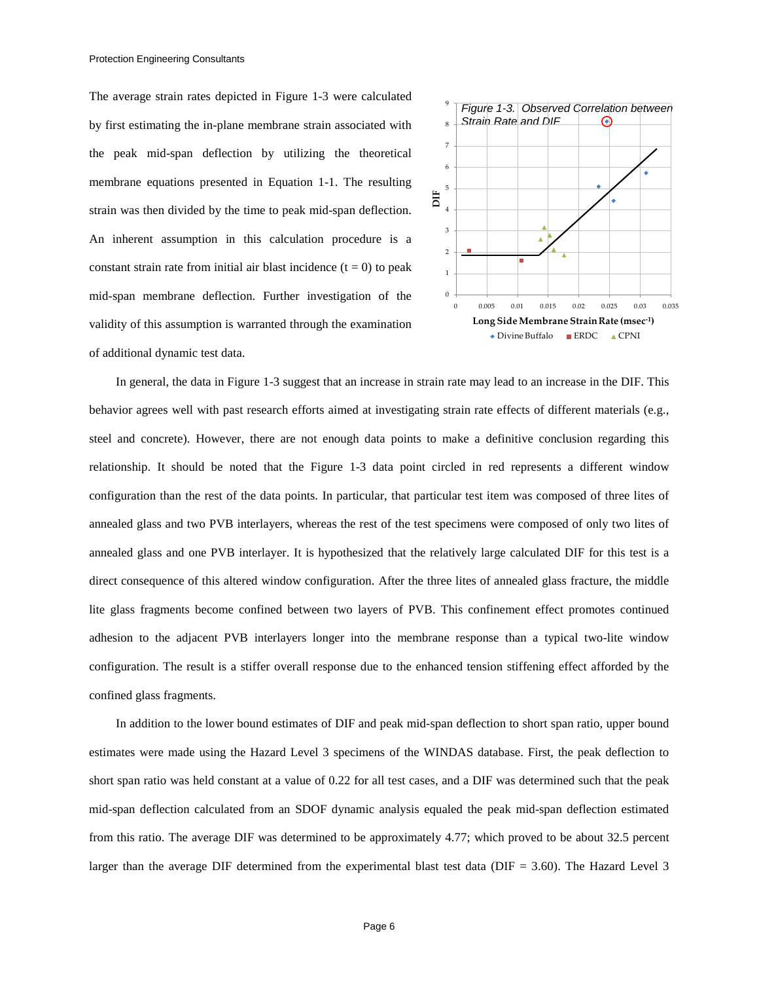The average strain rates depicted in [Figure 1-3](#page-5-0) were calculated by first estimating the in-plane membrane strain associated with the peak mid-span deflection by utilizing the theoretical membrane equations presented in [Equation 1-1.](#page-2-0) The resulting strain was then divided by the time to peak mid-span deflection. An inherent assumption in this calculation procedure is a constant strain rate from initial air blast incidence  $(t = 0)$  to peak mid-span membrane deflection. Further investigation of the validity of this assumption is warranted through the examination of additional dynamic test data.

<span id="page-5-0"></span>

In general, the data in [Figure 1-3](#page-5-0) suggest that an increase in strain rate may lead to an increase in the DIF. This behavior agrees well with past research efforts aimed at investigating strain rate effects of different materials (e.g., steel and concrete). However, there are not enough data points to make a definitive conclusion regarding this relationship. It should be noted that the [Figure 1-3](#page-5-0) data point circled in red represents a different window configuration than the rest of the data points. In particular, that particular test item was composed of three lites of annealed glass and two PVB interlayers, whereas the rest of the test specimens were composed of only two lites of annealed glass and one PVB interlayer. It is hypothesized that the relatively large calculated DIF for this test is a direct consequence of this altered window configuration. After the three lites of annealed glass fracture, the middle lite glass fragments become confined between two layers of PVB. This confinement effect promotes continued adhesion to the adjacent PVB interlayers longer into the membrane response than a typical two-lite window configuration. The result is a stiffer overall response due to the enhanced tension stiffening effect afforded by the confined glass fragments.

In addition to the lower bound estimates of DIF and peak mid-span deflection to short span ratio, upper bound estimates were made using the Hazard Level 3 specimens of the WINDAS database. First, the peak deflection to short span ratio was held constant at a value of 0.22 for all test cases, and a DIF was determined such that the peak mid-span deflection calculated from an SDOF dynamic analysis equaled the peak mid-span deflection estimated from this ratio. The average DIF was determined to be approximately 4.77; which proved to be about 32.5 percent larger than the average DIF determined from the experimental blast test data (DIF = 3.60). The Hazard Level 3